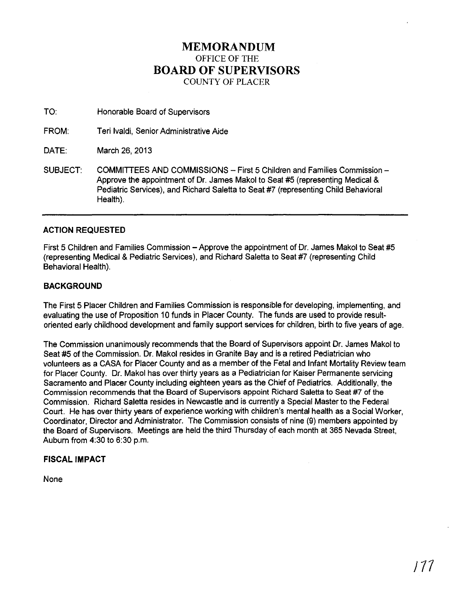# **MEMORANDUM** OFFICE OF THE **BOARD OF SUPERVISORS** COUNTY OF PLACER

TO: FROM: DATE: SUBJECT: Honorable Board of Supervisors Teri Ivaldi, Senior Administrative Aide March 26, 2013 COMMITTEES AND COMMISSIONS - First 5 Children and Families Commission - Approve the appointment of Dr. James Makol to Seat #5 (representing Medical & Pediatric Services), and Richard Saletta to Seat #7 (representing Child Behavioral Health).

## **ACTION REQUESTED**

First 5 Children and Families Commission – Approve the appointment of Dr. James Makol to Seat #5 (representing Medical & Pediatric Services), and Richard Saletta to Seat #7 (representing Child Behavioral Health).

## **BACKGROUND**

The First 5 Placer Children and Families Commission is responsible for developing, implementing, and evaluating the use of Proposition 10 funds in Placer County. The funds are used to provide resultoriented early childhood development and family support services for children, birth to five years of age.

The Commission unanimously recommends that the Board of Supervisors appoint Dr. James Makol to Seat #5 of the Commission. Dr. Makol resides in Granite Bay and is a retired Pediatrician who volunteers as a CASA for Placer County and as a member of the Fetal and Infant Mortality Review team for Placer County. Dr. Makol has over thirty years as a Pediatrician for Kaiser Permanente servicing Sacramento and Placer County including eighteen years as the Chief of Pediatrics. Additionally, the Commission recommends that the Board of Supervisors appoint Richard Saletta to Seat #7 of the Commission. Richard Saletta resides in Newcastle and is currently a Special Master to the Federal Court. He has over thirty years of experience working with children's mental health as a Social Worker, Coordinator, Director and Administrator. The Commission consists of nine (9) members appointed by the Board of Supervisors. Meetings are held the third Thursday of each month at 365 Nevada Street, Auburn from 4:30 to 6:30 p.m.

## **FISCAL IMPACT**

None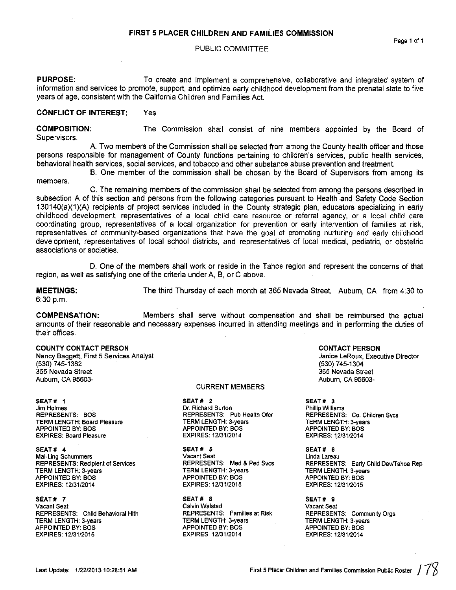## PUBLIC COMMITTEE

Page 1 of 1

PURPOSE: To create and implement a comprehensive, collaborative and integrated system of information and services to promote, support, and optimize early childhood development from the prenatal state to five years of age, consistent with the California Chiidren and Families Act.

#### CONFLICT OF INTEREST: Yes

COMPOSITION: Supervisors. The Commission shall consist of nine members appointed by the Board of

A. Two members of the Commission shall be selected from among the County heaith officer and those persons responsible for management of County functions pertaining to children's services, public health services, behavioral health services, social services, and tobacco and other substance abuse prevention and treatment.

B. One member of the commission shall be chosen by the Board of Supervisors from among its members.

C. The remaining members of the commission shall be selected from among the persons described in subsection A of this section and persons from the following categories pursuant to Health and Safety Code Section 130140(a)(1)(A) recipients of project services included in the County strategic plan, educators specializing in early childhood development, representatives of a local child care resource or referral agency, or a local child care coordinating group, representatives of a local organization for prevention or early intervention of families at risk, representatives of community-based organizations that have the goal of promoting nurturing and early childhood development, representatives of iocal school districts, and representatives of locai medical, pediatric, or obstetric associations or societies.

D. One of the members shall work or reside in the Tahoe region and represent the concerns of that region, as well as satisfying one of the criteria under A, B, or C above.

MEETINGS: 6:30 p.m. The third Thursday of each month at 365 Nevada Street, Auburn, CA from 4:30 to

COMPENSATION: Members shall serve without compensation and shall be reimbursed the actual amounts of their reasonable and necessary expenses incurred in attending meetings and in performing the duties of their offices.

## COUNTY CONTACT PERSON

Nancy Baggett, First 5 Services Analyst (530) 745-1382 365 Nevada Street Auburn, CA 95603-

SEAT# 1 **Jim Holmes** REPRESENTS: BOS TERM LENGTH: Board Pleasure APPOINTED BY: BOS EXPIRES: Board Pleasure

SEAT# 4 **Mai-Ling Schummers** REPRESENTS: Recipient of Services TERM LENGTH: 3-years APPOINTED BY: BOS EXPIRES: 12/31/2014

SEAT# 7 Vacant Seat REPRESENTS: Child Behavioral Hlth TERM LENGTH: 3-years APPOINTED BY: BOS EXPIRES: 12/31/2015

### CURRENT MEMBERS

SEAT# 2 Dr. Richard Burton REPRESENTS: Pub Health Ofcr TERM LENGTH: 3-years APPOINTED BY: BOS EXPIRES: 12/3112014

SEAT# 5 **Vacant Seat** REPRESENTS: Med & Ped Svcs TERM LENGTH: 3-years APPOINTED BY: BOS EXPIRES: 12/31/2015

SEAT# 8 Calvin Waistad REPRESENTS: Families at Risk TERM LENGTH: 3-years APPOINTED BY: BOS EXPIRES: 12/31/2014

CONTACT PERSON

Janice LeRoux, Executive Director (530) 745-1304 365 Nevada Street Auburn, CA 95603-

SEAT# 3 Phillip Williams REPRESENTS: Co. Children Svcs TERM LENGTH: 3-years APPOINTED BY: BOS EXPIRES: 12/31/2014

SEAT# 6 **Linda Lareau** REPRESENTS: Early Child Dev/Tahoe Rep TERM LENGTH: 3-years APPOINTED BY: BOS EXPIRES: 12/31/2015

SEAT# 9 **Vacant Seat** REPRESENTS: Community Orgs TERM LENGTH: 3-years APPOINTED BY: BOS EXPIRES: 12/31/2014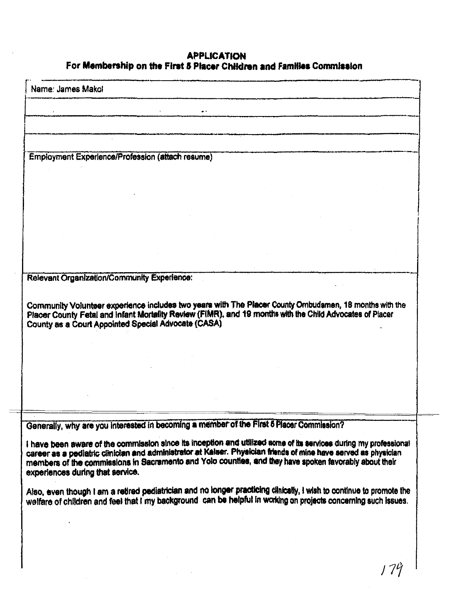# APPLICATION<br>For Membership on the First 8 Placer Children and Families Commission

| Name: James Makol                |                                                                                                                                                                                                                                                                           |  |  |
|----------------------------------|---------------------------------------------------------------------------------------------------------------------------------------------------------------------------------------------------------------------------------------------------------------------------|--|--|
|                                  |                                                                                                                                                                                                                                                                           |  |  |
|                                  |                                                                                                                                                                                                                                                                           |  |  |
|                                  |                                                                                                                                                                                                                                                                           |  |  |
|                                  |                                                                                                                                                                                                                                                                           |  |  |
|                                  | Employment Experience/Profession (attach resume)                                                                                                                                                                                                                          |  |  |
|                                  |                                                                                                                                                                                                                                                                           |  |  |
|                                  |                                                                                                                                                                                                                                                                           |  |  |
|                                  |                                                                                                                                                                                                                                                                           |  |  |
|                                  |                                                                                                                                                                                                                                                                           |  |  |
|                                  |                                                                                                                                                                                                                                                                           |  |  |
|                                  |                                                                                                                                                                                                                                                                           |  |  |
|                                  |                                                                                                                                                                                                                                                                           |  |  |
|                                  |                                                                                                                                                                                                                                                                           |  |  |
|                                  |                                                                                                                                                                                                                                                                           |  |  |
|                                  | Community Volunteer experience includes two years with The Placer County Ombudsmen, 18 months with the<br>Placer County Fetal and Infant Mortality Review (FIMR), and 19 months with the Child Advocates of Placer<br>County as a Court Appointed Special Advocate (CASA) |  |  |
|                                  |                                                                                                                                                                                                                                                                           |  |  |
|                                  |                                                                                                                                                                                                                                                                           |  |  |
|                                  |                                                                                                                                                                                                                                                                           |  |  |
|                                  |                                                                                                                                                                                                                                                                           |  |  |
|                                  |                                                                                                                                                                                                                                                                           |  |  |
|                                  |                                                                                                                                                                                                                                                                           |  |  |
|                                  |                                                                                                                                                                                                                                                                           |  |  |
|                                  | Generally, why are you interested in becoming a member of the First 5 Placer Commission?                                                                                                                                                                                  |  |  |
|                                  |                                                                                                                                                                                                                                                                           |  |  |
|                                  | I have been aware of the commission since its inception and utilized some of its services during my professional                                                                                                                                                          |  |  |
|                                  | career as a pediatric clinician and administrator at Kaiser. Physician friends of mine have served as physician<br>members of the commissions in Sacramento and Yolo counties, and they have spoken favorably about their                                                 |  |  |
| experiences during that service. |                                                                                                                                                                                                                                                                           |  |  |
|                                  |                                                                                                                                                                                                                                                                           |  |  |
|                                  | Also, even though I am a retired pediatrician and no longer practicing clinically, I wish to continue to promote the<br>welfare of children and feel that I my background can be helpful in working on projects concerning such issues.                                   |  |  |
|                                  |                                                                                                                                                                                                                                                                           |  |  |

 $\frac{1}{1-\frac{1}{2}}\left( \frac{1}{2},\frac{1}{2}\right) ^{2}$ 

 $179$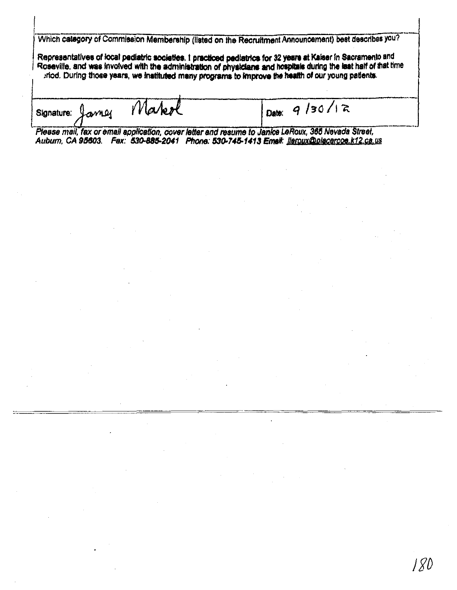Which category of Commission Membership (listed on the Recruitment Announcement) best describes you?

Representatives of local pediatric societies, I practiced pediatrics for 32 years at Kaiser in Sacramento and Roseville, and was involved with the administration of physicians and hospitals during the last half of that time triod. During those years, we instituted many programs to improve the health of our young patients.

Make Signature: Lavinux

Date:  $9/30/17$ 

Please mail, fax or email application, cover letter and resume to Janice LeRoux, 365 Nevada Street, Aubum, CA 95603. Fax: 530-885-2041 Phone: 530-745-1413 Email: lleroux@placercoe.k12.ca.us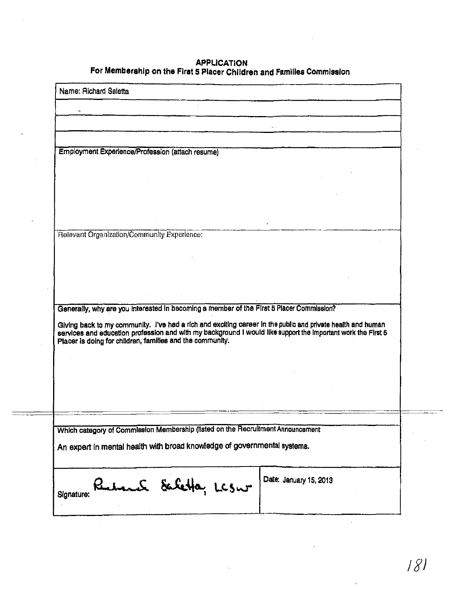# APPLICATION<br>For Membership on the First 5 Placer Children and Families Commission

|                                             | Employment Experience/Profession (attach resume)                                                                                                            |  |                                                                                                                                                                                                                             |  |
|---------------------------------------------|-------------------------------------------------------------------------------------------------------------------------------------------------------------|--|-----------------------------------------------------------------------------------------------------------------------------------------------------------------------------------------------------------------------------|--|
|                                             |                                                                                                                                                             |  |                                                                                                                                                                                                                             |  |
|                                             |                                                                                                                                                             |  |                                                                                                                                                                                                                             |  |
|                                             |                                                                                                                                                             |  |                                                                                                                                                                                                                             |  |
|                                             |                                                                                                                                                             |  |                                                                                                                                                                                                                             |  |
|                                             |                                                                                                                                                             |  |                                                                                                                                                                                                                             |  |
| Relevant Organization/Community Experience: |                                                                                                                                                             |  |                                                                                                                                                                                                                             |  |
|                                             |                                                                                                                                                             |  |                                                                                                                                                                                                                             |  |
|                                             |                                                                                                                                                             |  |                                                                                                                                                                                                                             |  |
|                                             |                                                                                                                                                             |  |                                                                                                                                                                                                                             |  |
|                                             |                                                                                                                                                             |  |                                                                                                                                                                                                                             |  |
|                                             |                                                                                                                                                             |  |                                                                                                                                                                                                                             |  |
|                                             | Generally, why are you interested in becoming a member of the First 5 Placer Commission?                                                                    |  |                                                                                                                                                                                                                             |  |
|                                             | Placer is doing for children, families and the community.                                                                                                   |  | Giving back to my community. I've had a rich and exciting career in the public and private health and human<br>services and education profession and with my background I would like support the important work the First 5 |  |
|                                             |                                                                                                                                                             |  |                                                                                                                                                                                                                             |  |
|                                             |                                                                                                                                                             |  |                                                                                                                                                                                                                             |  |
|                                             |                                                                                                                                                             |  |                                                                                                                                                                                                                             |  |
|                                             |                                                                                                                                                             |  |                                                                                                                                                                                                                             |  |
|                                             |                                                                                                                                                             |  |                                                                                                                                                                                                                             |  |
|                                             |                                                                                                                                                             |  |                                                                                                                                                                                                                             |  |
|                                             | Which category of Commission Membership (listed on the Recruitment Announcement<br>An expert in mental health with broad knowledge of governmental systems. |  |                                                                                                                                                                                                                             |  |
|                                             |                                                                                                                                                             |  |                                                                                                                                                                                                                             |  |